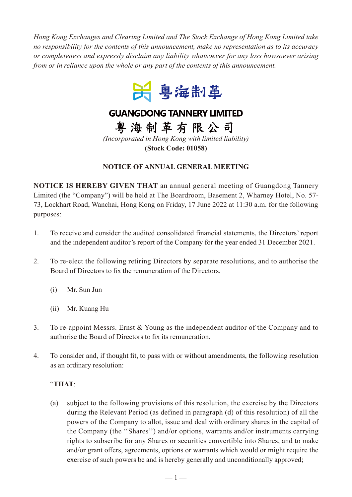*Hong Kong Exchanges and Clearing Limited and The Stock Exchange of Hong Kong Limited take no responsibility for the contents of this announcement, make no representation as to its accuracy or completeness and expressly disclaim any liability whatsoever for any loss howsoever arising from or in reliance upon the whole or any part of the contents of this announcement.*



## **GUANGDONG TANNERY LIMITED**

粤海制革有限公司 *(Incorporated in Hong Kong with limited liability)*

**(Stock Code: 01058)**

## **NOTICE OF ANNUAL GENERAL MEETING**

**NOTICE IS HEREBY GIVEN THAT** an annual general meeting of Guangdong Tannery Limited (the "Company") will be held at The Boardroom, Basement 2, Wharney Hotel, No. 57- 73, Lockhart Road, Wanchai, Hong Kong on Friday, 17 June 2022 at 11:30 a.m. for the following purposes:

- 1. To receive and consider the audited consolidated financial statements, the Directors' report and the independent auditor's report of the Company for the year ended 31 December 2021.
- 2. To re-elect the following retiring Directors by separate resolutions, and to authorise the Board of Directors to fix the remuneration of the Directors.
	- (i) Mr. Sun Jun
	- (ii) Mr. Kuang Hu
- 3. To re-appoint Messrs. Ernst & Young as the independent auditor of the Company and to authorise the Board of Directors to fix its remuneration.
- 4. To consider and, if thought fit, to pass with or without amendments, the following resolution as an ordinary resolution:

## "**THAT**:

(a) subject to the following provisions of this resolution, the exercise by the Directors during the Relevant Period (as defined in paragraph (d) of this resolution) of all the powers of the Company to allot, issue and deal with ordinary shares in the capital of the Company (the ''Shares'') and/or options, warrants and/or instruments carrying rights to subscribe for any Shares or securities convertible into Shares, and to make and/or grant offers, agreements, options or warrants which would or might require the exercise of such powers be and is hereby generally and unconditionally approved;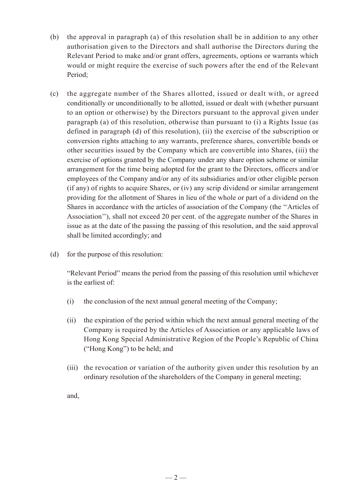- (b) the approval in paragraph (a) of this resolution shall be in addition to any other authorisation given to the Directors and shall authorise the Directors during the Relevant Period to make and/or grant offers, agreements, options or warrants which would or might require the exercise of such powers after the end of the Relevant Period;
- (c) the aggregate number of the Shares allotted, issued or dealt with, or agreed conditionally or unconditionally to be allotted, issued or dealt with (whether pursuant to an option or otherwise) by the Directors pursuant to the approval given under paragraph (a) of this resolution, otherwise than pursuant to (i) a Rights Issue (as defined in paragraph (d) of this resolution), (ii) the exercise of the subscription or conversion rights attaching to any warrants, preference shares, convertible bonds or other securities issued by the Company which are convertible into Shares, (iii) the exercise of options granted by the Company under any share option scheme or similar arrangement for the time being adopted for the grant to the Directors, officers and/or employees of the Company and/or any of its subsidiaries and/or other eligible person (if any) of rights to acquire Shares, or (iv) any scrip dividend or similar arrangement providing for the allotment of Shares in lieu of the whole or part of a dividend on the Shares in accordance with the articles of association of the Company (the ''Articles of Association''), shall not exceed 20 per cent. of the aggregate number of the Shares in issue as at the date of the passing the passing of this resolution, and the said approval shall be limited accordingly; and
- (d) for the purpose of this resolution:

"Relevant Period" means the period from the passing of this resolution until whichever is the earliest of:

- (i) the conclusion of the next annual general meeting of the Company;
- (ii) the expiration of the period within which the next annual general meeting of the Company is required by the Articles of Association or any applicable laws of Hong Kong Special Administrative Region of the People's Republic of China ("Hong Kong") to be held; and
- (iii) the revocation or variation of the authority given under this resolution by an ordinary resolution of the shareholders of the Company in general meeting;

and,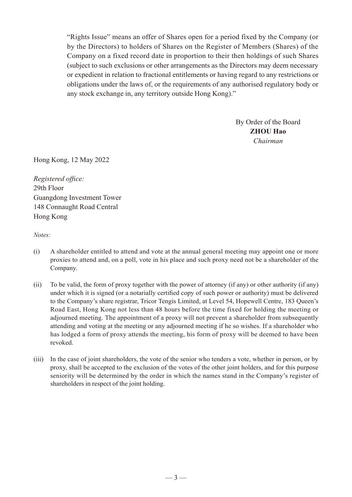"Rights Issue" means an offer of Shares open for a period fixed by the Company (or by the Directors) to holders of Shares on the Register of Members (Shares) of the Company on a fixed record date in proportion to their then holdings of such Shares (subject to such exclusions or other arrangements as the Directors may deem necessary or expedient in relation to fractional entitlements or having regard to any restrictions or obligations under the laws of, or the requirements of any authorised regulatory body or any stock exchange in, any territory outside Hong Kong)."

> By Order of the Board **ZHOU Hao** *Chairman*

Hong Kong, 12 May 2022

*Registered office:* 29th Floor Guangdong Investment Tower 148 Connaught Road Central Hong Kong

*Notes:*

- (i) A shareholder entitled to attend and vote at the annual general meeting may appoint one or more proxies to attend and, on a poll, vote in his place and such proxy need not be a shareholder of the Company.
- (ii) To be valid, the form of proxy together with the power of attorney (if any) or other authority (if any) under which it is signed (or a notarially certified copy of such power or authority) must be delivered to the Company's share registrar, Tricor Tengis Limited, at Level 54, Hopewell Centre, 183 Queen's Road East, Hong Kong not less than 48 hours before the time fixed for holding the meeting or adjourned meeting. The appointment of a proxy will not prevent a shareholder from subsequently attending and voting at the meeting or any adjourned meeting if he so wishes. If a shareholder who has lodged a form of proxy attends the meeting, his form of proxy will be deemed to have been revoked.
- (iii) In the case of joint shareholders, the vote of the senior who tenders a vote, whether in person, or by proxy, shall be accepted to the exclusion of the votes of the other joint holders, and for this purpose seniority will be determined by the order in which the names stand in the Company's register of shareholders in respect of the joint holding.